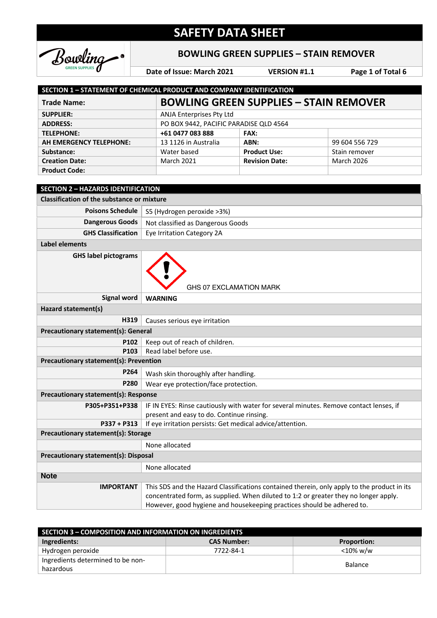

### **BOWLING GREEN SUPPLIES – STAIN REMOVER**

**Date of Issue: March 2021 VERSION #1.1 Page 1 of Total 6**

| <b>SECTION 1 - STATEMENT OF CHEMICAL PRODUCT AND COMPANY IDENTIFICATION</b> |                                               |                       |                   |  |
|-----------------------------------------------------------------------------|-----------------------------------------------|-----------------------|-------------------|--|
| <b>Trade Name:</b>                                                          | <b>BOWLING GREEN SUPPLIES - STAIN REMOVER</b> |                       |                   |  |
| <b>SUPPLIER:</b>                                                            | ANJA Enterprises Pty Ltd                      |                       |                   |  |
| <b>ADDRESS:</b>                                                             | PO BOX 9442, PACIFIC PARADISE QLD 4564        |                       |                   |  |
| <b>TELEPHONE:</b>                                                           | +61 0477 083 888                              | <b>FAX:</b>           |                   |  |
| AH EMERGENCY TELEPHONE:                                                     | 13 1126 in Australia                          | ABN:                  | 99 604 556 729    |  |
| Substance:                                                                  | Water based                                   | <b>Product Use:</b>   | Stain remover     |  |
| <b>Creation Date:</b>                                                       | <b>March 2021</b>                             | <b>Revision Date:</b> | <b>March 2026</b> |  |
| <b>Product Code:</b>                                                        |                                               |                       |                   |  |

| <b>SECTION 2 - HAZARDS IDENTIFICATION</b>         |                                                                                                                                                                                                                                                               |  |
|---------------------------------------------------|---------------------------------------------------------------------------------------------------------------------------------------------------------------------------------------------------------------------------------------------------------------|--|
| <b>Classification of the substance or mixture</b> |                                                                                                                                                                                                                                                               |  |
| <b>Poisons Schedule</b>                           | S5 (Hydrogen peroxide >3%)                                                                                                                                                                                                                                    |  |
| <b>Dangerous Goods</b>                            | Not classified as Dangerous Goods                                                                                                                                                                                                                             |  |
| <b>GHS Classification</b>                         | Eye Irritation Category 2A                                                                                                                                                                                                                                    |  |
| Label elements                                    |                                                                                                                                                                                                                                                               |  |
| <b>GHS label pictograms</b>                       | GHS 07 EXCLAMATION MARK                                                                                                                                                                                                                                       |  |
| <b>Signal word</b>                                | <b>WARNING</b>                                                                                                                                                                                                                                                |  |
| Hazard statement(s)                               |                                                                                                                                                                                                                                                               |  |
| H319                                              | Causes serious eye irritation                                                                                                                                                                                                                                 |  |
| <b>Precautionary statement(s): General</b>        |                                                                                                                                                                                                                                                               |  |
| P102                                              | Keep out of reach of children.                                                                                                                                                                                                                                |  |
| P103                                              | Read label before use.                                                                                                                                                                                                                                        |  |
| <b>Precautionary statement(s): Prevention</b>     |                                                                                                                                                                                                                                                               |  |
| P264                                              | Wash skin thoroughly after handling.                                                                                                                                                                                                                          |  |
| <b>P280</b>                                       | Wear eye protection/face protection.                                                                                                                                                                                                                          |  |
| <b>Precautionary statement(s): Response</b>       |                                                                                                                                                                                                                                                               |  |
| P305+P351+P338                                    | IF IN EYES: Rinse cautiously with water for several minutes. Remove contact lenses, if<br>present and easy to do. Continue rinsing.                                                                                                                           |  |
| P337 + P313                                       | If eye irritation persists: Get medical advice/attention.                                                                                                                                                                                                     |  |
| Precautionary statement(s): Storage               |                                                                                                                                                                                                                                                               |  |
|                                                   | None allocated                                                                                                                                                                                                                                                |  |
| <b>Precautionary statement(s): Disposal</b>       |                                                                                                                                                                                                                                                               |  |
|                                                   | None allocated                                                                                                                                                                                                                                                |  |
| <b>Note</b>                                       |                                                                                                                                                                                                                                                               |  |
| <b>IMPORTANT</b>                                  | This SDS and the Hazard Classifications contained therein, only apply to the product in its<br>concentrated form, as supplied. When diluted to 1:2 or greater they no longer apply.<br>However, good hygiene and housekeeping practices should be adhered to. |  |

| <b>SECTION 3 - COMPOSITION AND INFORMATION ON INGREDIENTS</b> |                    |                    |
|---------------------------------------------------------------|--------------------|--------------------|
| Ingredients:                                                  | <b>CAS Number:</b> | <b>Proportion:</b> |
| Hydrogen peroxide                                             | 7722-84-1          | <10% w/w           |
| Ingredients determined to be non-                             |                    |                    |
| hazardous                                                     |                    | <b>Balance</b>     |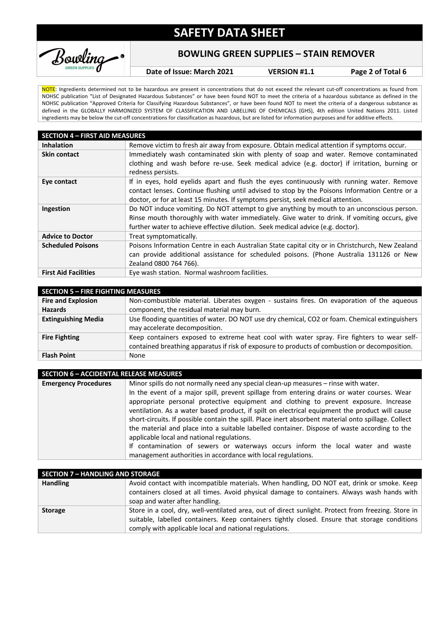

#### **BOWLING GREEN SUPPLIES – STAIN REMOVER**

**Date of Issue: March 2021 VERSION #1.1 Page 2 of Total 6**

NOTE: Ingredients determined not to be hazardous are present in concentrations that do not exceed the relevant cut-off concentrations as found from NOHSC publication "List of Designated Hazardous Substances" or have been found NOT to meet the criteria of a hazardous substance as defined in the NOHSC publication "Approved Criteria for Classifying Hazardous Substances", or have been found NOT to meet the criteria of a dangerous substance as defined in the GLOBALLY HARMONIZED SYSTEM OF CLASSIFICATION AND LABELLING OF CHEMICALS (GHS), 4th edition United Nations 2011. Listed ingredients may be below the cut-off concentrations for classification as hazardous, but are listed for information purposes and for additive effects.

| <b>SECTION 4 - FIRST AID MEASURES</b> |                                                                                                                                                                                                                                                                                 |  |
|---------------------------------------|---------------------------------------------------------------------------------------------------------------------------------------------------------------------------------------------------------------------------------------------------------------------------------|--|
| <b>Inhalation</b>                     | Remove victim to fresh air away from exposure. Obtain medical attention if symptoms occur.                                                                                                                                                                                      |  |
| <b>Skin contact</b>                   | Immediately wash contaminated skin with plenty of soap and water. Remove contaminated                                                                                                                                                                                           |  |
|                                       | clothing and wash before re-use. Seek medical advice (e.g. doctor) if irritation, burning or<br>redness persists.                                                                                                                                                               |  |
| Eye contact                           | If in eyes, hold eyelids apart and flush the eyes continuously with running water. Remove<br>contact lenses. Continue flushing until advised to stop by the Poisons Information Centre or a<br>doctor, or for at least 15 minutes. If symptoms persist, seek medical attention. |  |
| Ingestion                             | Do NOT induce vomiting. Do NOT attempt to give anything by mouth to an unconscious person.<br>Rinse mouth thoroughly with water immediately. Give water to drink. If vomiting occurs, give<br>further water to achieve effective dilution. Seek medical advice (e.g. doctor).   |  |
| <b>Advice to Doctor</b>               | Treat symptomatically.                                                                                                                                                                                                                                                          |  |
| <b>Scheduled Poisons</b>              | Poisons Information Centre in each Australian State capital city or in Christchurch, New Zealand<br>can provide additional assistance for scheduled poisons. (Phone Australia 131126 or New<br>Zealand 0800 764 766).                                                           |  |
| <b>First Aid Facilities</b>           | Eye wash station. Normal washroom facilities.                                                                                                                                                                                                                                   |  |

| <b>SECTION 5 - FIRE FIGHTING MEASURES</b>   |                                                                                                                                                                                             |  |
|---------------------------------------------|---------------------------------------------------------------------------------------------------------------------------------------------------------------------------------------------|--|
| <b>Fire and Explosion</b><br><b>Hazards</b> | Non-combustible material. Liberates oxygen - sustains fires. On evaporation of the aqueous<br>component, the residual material may burn.                                                    |  |
| <b>Extinguishing Media</b>                  | Use flooding quantities of water. DO NOT use dry chemical, CO2 or foam. Chemical extinguishers<br>may accelerate decomposition.                                                             |  |
| <b>Fire Fighting</b>                        | Keep containers exposed to extreme heat cool with water spray. Fire fighters to wear self-<br>contained breathing apparatus if risk of exposure to products of combustion or decomposition. |  |
| <b>Flash Point</b>                          | None                                                                                                                                                                                        |  |

| <b>SECTION 6 - ACCIDENTAL RELEASE MEASURES</b> |                                                                                                      |  |
|------------------------------------------------|------------------------------------------------------------------------------------------------------|--|
| <b>Emergency Procedures</b>                    | Minor spills do not normally need any special clean-up measures - rinse with water.                  |  |
|                                                | In the event of a major spill, prevent spillage from entering drains or water courses. Wear          |  |
|                                                | appropriate personal protective equipment and clothing to prevent exposure. Increase                 |  |
|                                                | ventilation. As a water based product, if spilt on electrical equipment the product will cause       |  |
|                                                | short-circuits. If possible contain the spill. Place inert absorbent material onto spillage. Collect |  |
|                                                | the material and place into a suitable labelled container. Dispose of waste according to the         |  |
|                                                | applicable local and national regulations.                                                           |  |
|                                                | If contamination of sewers or waterways occurs inform the local water and waste                      |  |
|                                                | management authorities in accordance with local regulations.                                         |  |

| <b>SECTION 7 - HANDLING AND STORAGE</b> |                                                                                                                                                                                                                                                                |  |
|-----------------------------------------|----------------------------------------------------------------------------------------------------------------------------------------------------------------------------------------------------------------------------------------------------------------|--|
| <b>Handling</b>                         | Avoid contact with incompatible materials. When handling, DO NOT eat, drink or smoke. Keep<br>containers closed at all times. Avoid physical damage to containers. Always wash hands with<br>soap and water after handling.                                    |  |
| <b>Storage</b>                          | Store in a cool, dry, well-ventilated area, out of direct sunlight. Protect from freezing. Store in<br>suitable, labelled containers. Keep containers tightly closed. Ensure that storage conditions<br>comply with applicable local and national regulations. |  |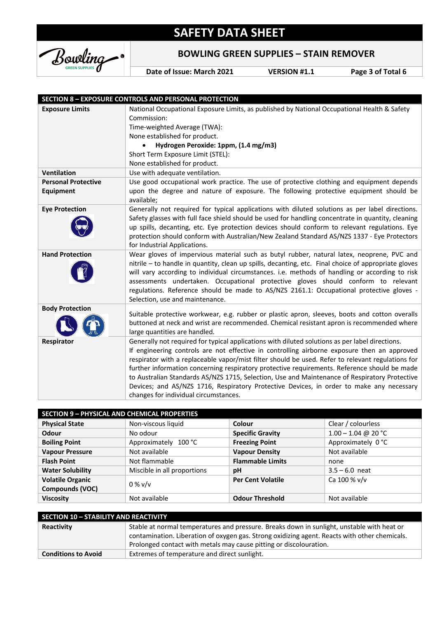

**BOWLING GREEN SUPPLIES – STAIN REMOVER**

**Date of Issue: March 2021 VERSION #1.1 Page 3 of Total 6**

|                                                | <b>SECTION 8 - EXPOSURE CONTROLS AND PERSONAL PROTECTION</b>                                                                                                                                                                                                                                                                                                                                                                                                                                                                                                                                                                              |
|------------------------------------------------|-------------------------------------------------------------------------------------------------------------------------------------------------------------------------------------------------------------------------------------------------------------------------------------------------------------------------------------------------------------------------------------------------------------------------------------------------------------------------------------------------------------------------------------------------------------------------------------------------------------------------------------------|
| <b>Exposure Limits</b>                         | National Occupational Exposure Limits, as published by National Occupational Health & Safety<br>Commission:<br>Time-weighted Average (TWA):<br>None established for product.<br>Hydrogen Peroxide: 1ppm, (1.4 mg/m3)<br>Short Term Exposure Limit (STEL):<br>None established for product.                                                                                                                                                                                                                                                                                                                                                |
| <b>Ventilation</b>                             | Use with adequate ventilation.                                                                                                                                                                                                                                                                                                                                                                                                                                                                                                                                                                                                            |
| <b>Personal Protective</b><br><b>Equipment</b> | Use good occupational work practice. The use of protective clothing and equipment depends<br>upon the degree and nature of exposure. The following protective equipment should be<br>available;                                                                                                                                                                                                                                                                                                                                                                                                                                           |
| <b>Eye Protection</b>                          | Generally not required for typical applications with diluted solutions as per label directions.<br>Safety glasses with full face shield should be used for handling concentrate in quantity, cleaning<br>up spills, decanting, etc. Eye protection devices should conform to relevant regulations. Eye<br>protection should conform with Australian/New Zealand Standard AS/NZS 1337 - Eye Protectors<br>for Industrial Applications.                                                                                                                                                                                                     |
| <b>Hand Protection</b>                         | Wear gloves of impervious material such as butyl rubber, natural latex, neoprene, PVC and<br>nitrile - to handle in quantity, clean up spills, decanting, etc. Final choice of appropriate gloves<br>will vary according to individual circumstances. i.e. methods of handling or according to risk<br>assessments undertaken. Occupational protective gloves should conform to relevant<br>regulations. Reference should be made to AS/NZS 2161.1: Occupational protective gloves -<br>Selection, use and maintenance.                                                                                                                   |
| <b>Body Protection</b>                         | Suitable protective workwear, e.g. rubber or plastic apron, sleeves, boots and cotton overalls<br>buttoned at neck and wrist are recommended. Chemical resistant apron is recommended where<br>large quantities are handled.                                                                                                                                                                                                                                                                                                                                                                                                              |
| Respirator                                     | Generally not required for typical applications with diluted solutions as per label directions.<br>If engineering controls are not effective in controlling airborne exposure then an approved<br>respirator with a replaceable vapor/mist filter should be used. Refer to relevant regulations for<br>further information concerning respiratory protective requirements. Reference should be made<br>to Australian Standards AS/NZS 1715, Selection, Use and Maintenance of Respiratory Protective<br>Devices; and AS/NZS 1716, Respiratory Protective Devices, in order to make any necessary<br>changes for individual circumstances. |

| <b>SECTION 9 - PHYSICAL AND CHEMICAL PROPERTIES</b> |                             |                          |                       |
|-----------------------------------------------------|-----------------------------|--------------------------|-----------------------|
| <b>Physical State</b>                               | Non-viscous liquid          | Colour                   | Clear / colourless    |
| <b>Odour</b>                                        | No odour                    | <b>Specific Gravity</b>  | $1.00 - 1.04$ @ 20 °C |
| <b>Boiling Point</b>                                | Approximately 100 °C        | <b>Freezing Point</b>    | Approximately 0 °C    |
| <b>Vapour Pressure</b>                              | Not available               | <b>Vapour Density</b>    | Not available         |
| <b>Flash Point</b>                                  | Not flammable               | <b>Flammable Limits</b>  | none                  |
| <b>Water Solubility</b>                             | Miscible in all proportions | pH                       | $3.5 - 6.0$ neat      |
| <b>Volatile Organic</b>                             | $0\%$ v/v                   | <b>Per Cent Volatile</b> | Ca 100 % v/v          |
| Compounds (VOC)                                     |                             |                          |                       |
| <b>Viscosity</b>                                    | Not available               | <b>Odour Threshold</b>   | Not available         |

| <b>SECTION 10 - STABILITY AND REACTIVITY</b> |                                                                                                                                                                                                                                                                   |  |
|----------------------------------------------|-------------------------------------------------------------------------------------------------------------------------------------------------------------------------------------------------------------------------------------------------------------------|--|
| Reactivity                                   | Stable at normal temperatures and pressure. Breaks down in sunlight, unstable with heat or<br>contamination. Liberation of oxygen gas. Strong oxidizing agent. Reacts with other chemicals.<br>Prolonged contact with metals may cause pitting or discolouration. |  |
| <b>Conditions to Avoid</b>                   | Extremes of temperature and direct sunlight.                                                                                                                                                                                                                      |  |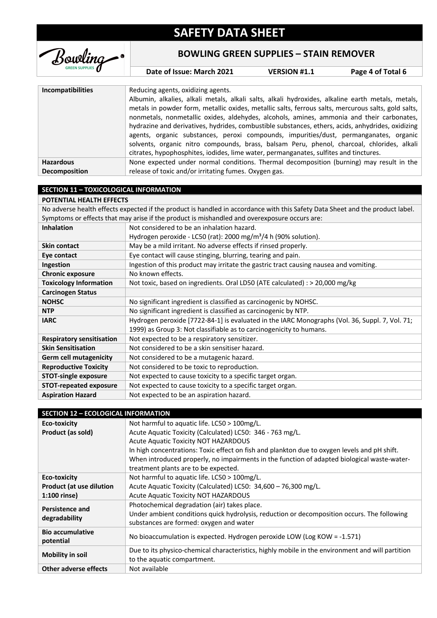

**BOWLING GREEN SUPPLIES – STAIN REMOVER**

**Date of Issue: March 2021 VERSION #1.1 Page 4 of Total 6**

| <b>Incompatibilities</b> | Reducing agents, oxidizing agents.<br>Albumin, alkalies, alkali metals, alkali salts, alkali hydroxides, alkaline earth metals, metals,<br>metals in powder form, metallic oxides, metallic salts, ferrous salts, mercurous salts, gold salts,<br>nonmetals, nonmetallic oxides, aldehydes, alcohols, amines, ammonia and their carbonates,<br>hydrazine and derivatives, hydrides, combustible substances, ethers, acids, anhydrides, oxidizing<br>agents, organic substances, peroxi compounds, impurities/dust, permanganates, organic<br>solvents, organic nitro compounds, brass, balsam Peru, phenol, charcoal, chlorides, alkali<br>citrates, hypophosphites, iodides, lime water, permanganates, sulfites and tinctures. |
|--------------------------|----------------------------------------------------------------------------------------------------------------------------------------------------------------------------------------------------------------------------------------------------------------------------------------------------------------------------------------------------------------------------------------------------------------------------------------------------------------------------------------------------------------------------------------------------------------------------------------------------------------------------------------------------------------------------------------------------------------------------------|
| <b>Hazardous</b>         | None expected under normal conditions. Thermal decomposition (burning) may result in the                                                                                                                                                                                                                                                                                                                                                                                                                                                                                                                                                                                                                                         |
| Decomposition            | release of toxic and/or irritating fumes. Oxygen gas.                                                                                                                                                                                                                                                                                                                                                                                                                                                                                                                                                                                                                                                                            |

#### **SECTION 11 – TOXICOLOGICAL INFORMATION**

| POTENTIAL HEALTH EFFECTS                                                                                                      |                                                                                                |  |  |
|-------------------------------------------------------------------------------------------------------------------------------|------------------------------------------------------------------------------------------------|--|--|
| No adverse health effects expected if the product is handled in accordance with this Safety Data Sheet and the product label. |                                                                                                |  |  |
|                                                                                                                               | Symptoms or effects that may arise if the product is mishandled and overexposure occurs are:   |  |  |
| <b>Inhalation</b>                                                                                                             | Not considered to be an inhalation hazard.                                                     |  |  |
|                                                                                                                               | Hydrogen peroxide - LC50 (rat): 2000 mg/m <sup>3</sup> /4 h (90% solution).                    |  |  |
| <b>Skin contact</b>                                                                                                           | May be a mild irritant. No adverse effects if rinsed properly.                                 |  |  |
| Eye contact                                                                                                                   | Eye contact will cause stinging, blurring, tearing and pain.                                   |  |  |
| Ingestion                                                                                                                     | Ingestion of this product may irritate the gastric tract causing nausea and vomiting.          |  |  |
| <b>Chronic exposure</b>                                                                                                       | No known effects.                                                                              |  |  |
| <b>Toxicology Information</b>                                                                                                 | Not toxic, based on ingredients. Oral LD50 (ATE calculated) : > 20,000 mg/kg                   |  |  |
| <b>Carcinogen Status</b>                                                                                                      |                                                                                                |  |  |
| <b>NOHSC</b>                                                                                                                  | No significant ingredient is classified as carcinogenic by NOHSC.                              |  |  |
| <b>NTP</b>                                                                                                                    | No significant ingredient is classified as carcinogenic by NTP.                                |  |  |
| <b>IARC</b>                                                                                                                   | Hydrogen peroxide [7722-84-1] is evaluated in the IARC Monographs (Vol. 36, Suppl. 7, Vol. 71; |  |  |
|                                                                                                                               | 1999) as Group 3: Not classifiable as to carcinogenicity to humans.                            |  |  |
| <b>Respiratory sensitisation</b>                                                                                              | Not expected to be a respiratory sensitizer.                                                   |  |  |
| <b>Skin Sensitisation</b>                                                                                                     | Not considered to be a skin sensitiser hazard.                                                 |  |  |
| <b>Germ cell mutagenicity</b>                                                                                                 | Not considered to be a mutagenic hazard.                                                       |  |  |
| <b>Reproductive Toxicity</b>                                                                                                  | Not considered to be toxic to reproduction.                                                    |  |  |
| <b>STOT-single exposure</b>                                                                                                   | Not expected to cause toxicity to a specific target organ.                                     |  |  |
| <b>STOT-repeated exposure</b>                                                                                                 | Not expected to cause toxicity to a specific target organ.                                     |  |  |
| <b>Aspiration Hazard</b>                                                                                                      | Not expected to be an aspiration hazard.                                                       |  |  |

| <b>SECTION 12 - ECOLOGICAL INFORMATION</b> |                                                                                                  |  |
|--------------------------------------------|--------------------------------------------------------------------------------------------------|--|
| <b>Eco-toxicity</b>                        | Not harmful to aquatic life. LC50 > 100mg/L.                                                     |  |
| Product (as sold)                          | Acute Aquatic Toxicity (Calculated) LC50: 346 - 763 mg/L.                                        |  |
|                                            | <b>Acute Aquatic Toxicity NOT HAZARDOUS</b>                                                      |  |
|                                            | In high concentrations: Toxic effect on fish and plankton due to oxygen levels and pH shift.     |  |
|                                            | When introduced properly, no impairments in the function of adapted biological waste-water-      |  |
|                                            | treatment plants are to be expected.                                                             |  |
| Eco-toxicity                               | Not harmful to aquatic life. LC50 > 100mg/L.                                                     |  |
| <b>Product (at use dilution</b>            | Acute Aquatic Toxicity (Calculated) LC50: 34,600 - 76,300 mg/L.                                  |  |
| $1:100$ rinse)                             | <b>Acute Aquatic Toxicity NOT HAZARDOUS</b>                                                      |  |
| <b>Persistence and</b><br>degradability    | Photochemical degradation (air) takes place.                                                     |  |
|                                            | Under ambient conditions quick hydrolysis, reduction or decomposition occurs. The following      |  |
|                                            | substances are formed: oxygen and water                                                          |  |
| <b>Bio accumulative</b>                    | No bioaccumulation is expected. Hydrogen peroxide LOW (Log KOW = -1.571)                         |  |
| potential                                  |                                                                                                  |  |
| <b>Mobility in soil</b>                    | Due to its physico-chemical characteristics, highly mobile in the environment and will partition |  |
|                                            | to the aquatic compartment.                                                                      |  |
| <b>Other adverse effects</b>               | Not available                                                                                    |  |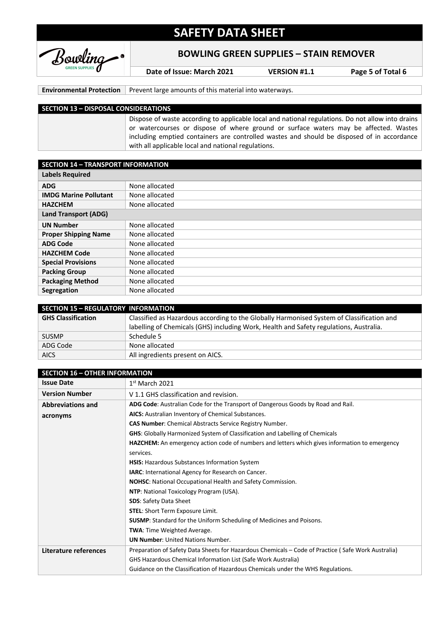

**BOWLING GREEN SUPPLIES – STAIN REMOVER**

**Date of Issue: March 2021 VERSION #1.1 Page 5 of Total 6**

**Environmental Protection** Prevent large amounts of this material into waterways.

#### **SECTION 13 – DISPOSAL CONSIDERATIONS**

Dispose of waste according to applicable local and national regulations. Do not allow into drains or watercourses or dispose of where ground or surface waters may be affected. Wastes including emptied containers are controlled wastes and should be disposed of in accordance with all applicable local and national regulations.

| <b>SECTION 14 - TRANSPORT INFORMATION</b> |                |  |
|-------------------------------------------|----------------|--|
| <b>Labels Required</b>                    |                |  |
| <b>ADG</b>                                | None allocated |  |
| <b>IMDG Marine Pollutant</b>              | None allocated |  |
| <b>HAZCHEM</b>                            | None allocated |  |
| <b>Land Transport (ADG)</b>               |                |  |
| <b>UN Number</b>                          | None allocated |  |
| <b>Proper Shipping Name</b>               | None allocated |  |
| <b>ADG Code</b>                           | None allocated |  |
| <b>HAZCHEM Code</b>                       | None allocated |  |
| <b>Special Provisions</b>                 | None allocated |  |
| <b>Packing Group</b>                      | None allocated |  |
| <b>Packaging Method</b>                   | None allocated |  |
| Segregation                               | None allocated |  |

| <b>SECTION 15 - REGULATORY INFORMATION</b> |                                                                                           |  |
|--------------------------------------------|-------------------------------------------------------------------------------------------|--|
| <b>GHS Classification</b>                  | Classified as Hazardous according to the Globally Harmonised System of Classification and |  |
|                                            | labelling of Chemicals (GHS) including Work, Health and Safety regulations, Australia.    |  |
| <b>SUSMP</b>                               | Schedule 5                                                                                |  |
| ADG Code                                   | None allocated                                                                            |  |
| <b>AICS</b>                                | All ingredients present on AICS.                                                          |  |

| <b>SECTION 16 - OTHER INFORMATION</b> |                                                                                                    |  |
|---------------------------------------|----------------------------------------------------------------------------------------------------|--|
| <b>Issue Date</b>                     | $1st$ March 2021                                                                                   |  |
| <b>Version Number</b>                 | V 1.1 GHS classification and revision.                                                             |  |
| <b>Abbreviations and</b>              | ADG Code: Australian Code for the Transport of Dangerous Goods by Road and Rail.                   |  |
| acronyms                              | AICS: Australian Inventory of Chemical Substances.                                                 |  |
|                                       | <b>CAS Number:</b> Chemical Abstracts Service Registry Number.                                     |  |
|                                       | <b>GHS:</b> Globally Harmonized System of Classification and Labelling of Chemicals                |  |
|                                       | HAZCHEM: An emergency action code of numbers and letters which gives information to emergency      |  |
|                                       | services.                                                                                          |  |
|                                       | HSIS: Hazardous Substances Information System                                                      |  |
|                                       | IARC: International Agency for Research on Cancer.                                                 |  |
|                                       | <b>NOHSC:</b> National Occupational Health and Safety Commission.                                  |  |
|                                       | NTP: National Toxicology Program (USA).                                                            |  |
|                                       | <b>SDS: Safety Data Sheet</b>                                                                      |  |
|                                       | <b>STEL:</b> Short Term Exposure Limit.                                                            |  |
|                                       | SUSMP: Standard for the Uniform Scheduling of Medicines and Poisons.                               |  |
|                                       | <b>TWA:</b> Time Weighted Average.                                                                 |  |
|                                       | <b>UN Number:</b> United Nations Number.                                                           |  |
| Literature references                 | Preparation of Safety Data Sheets for Hazardous Chemicals – Code of Practice (Safe Work Australia) |  |
|                                       | <b>GHS Hazardous Chemical Information List (Safe Work Australia)</b>                               |  |
|                                       | Guidance on the Classification of Hazardous Chemicals under the WHS Regulations.                   |  |